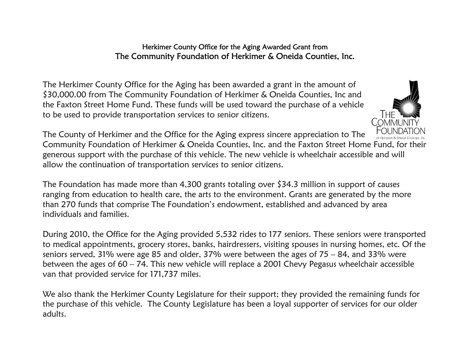## Herkimer County Office for the Aging Awarded Grant from The Community Foundation of Herkimer & Oneida Counties, Inc.

The Herkimer County Office for the Aging has been awarded a grant in the amount of \$30,000.00 from The Community Foundation of Herkimer & Oneida Counties, Inc and the Faxton Street Home Fund. These funds will be used toward the purchase of a vehicle to be used to provide transportation services to senior citizens.



The County of Herkimer and the Office for the Aging express sincere appreciation to The Community Foundation of Herkimer & Oneida Counties, Inc. and the Faxton Street Home Fund, for their generous support with the purchase of this vehicle. The new vehicle is wheelchair accessible and will allow the continuation of transportation services to senior citizens.

The Foundation has made more than 4,300 grants totaling over \$34.3 million in support of causes ranging from education to health care, the arts to the environment. Grants are generated by the more than 270 funds that comprise The Foundation's endowment, established and advanced by area individuals and families.

During 2010, the Office for the Aging provided 5,532 rides to 177 seniors. These seniors were transported to medical appointments, grocery stores, banks, hairdressers, visiting spouses in nursing homes, etc. Of the seniors served, 31% were age 85 and older, 37% were between the ages of 75 – 84, and 33% were between the ages of 60 – 74. This new vehicle will replace a 2001 Chevy Pegasus wheelchair accessible van that provided service for 171,737 miles.

We also thank the Herkimer County Legislature for their support; they provided the remaining funds for the purchase of this vehicle. The County Legislature has been a loyal supporter of services for our older adults.